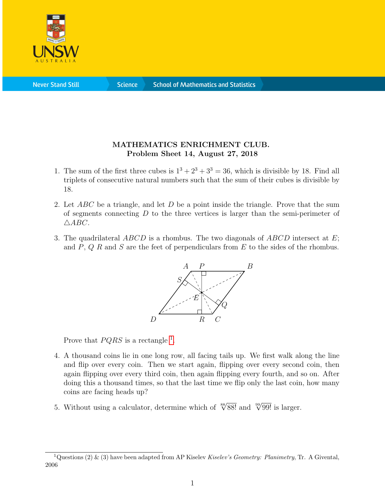

**Never Stand Still** 

**Science** 

## MATHEMATICS ENRICHMENT CLUB. Problem Sheet 14, August 27, 2018

- 1. The sum of the first three cubes is  $1^3 + 2^3 + 3^3 = 36$ , which is divisible by 18. Find all triplets of consecutive natural numbers such that the sum of their cubes is divisible by 18.
- 2. Let  $ABC$  be a triangle, and let  $D$  be a point inside the triangle. Prove that the sum of segments connecting  $D$  to the three vertices is larger than the semi-perimeter of  $\triangle ABC$ .
- 3. The quadrilateral  $ABCD$  is a rhombus. The two diagonals of  $ABCD$  intersect at E; and  $P, Q, R$  and  $S$  are the feet of perpendiculars from  $E$  to the sides of the rhombus.



Prove that  $PQRS$  is a rectangle <sup>[1](#page-0-0)</sup>.

- 4. A thousand coins lie in one long row, all facing tails up. We first walk along the line and flip over every coin. Then we start again, flipping over every second coin, then again flipping over every third coin, then again flipping every fourth, and so on. After doing this a thousand times, so that the last time we flip only the last coin, how many coins are facing heads up?
- 5. Without using a calculator, determine which of  $\sqrt[88]{88!}$  and  $\sqrt[99]{99!}$  is larger.

<span id="page-0-0"></span><sup>&</sup>lt;sup>1</sup>Questions (2) & (3) have been adapted from AP Kiselev Kiselev's Geometry: Planimetry, Tr. A Givental, 2006